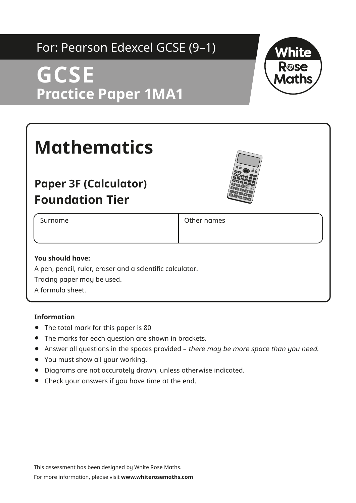### For: Pearson Edexcel GCSE (9–1)

# **GCSE Practice Paper 1MA1**



## **Paper 3F (Calculator) Foundation Tier**

Surname **Other names** 

### **You should have:**

A pen, pencil, ruler, eraser and a scientific calculator. Tracing paper may be used. A formula sheet.

#### **Information**

- **•** The total mark for this paper is 80
- **•** The marks for each question are shown in brackets.
- **•** Answer all questions in the spaces provided there may be more space than you need.
- **•** You must show all your working.
- **•** Diagrams are not accurately drawn, unless otherwise indicated.
- **•** Check your answers if you have time at the end.

This assessment has been designed by White Rose Maths.

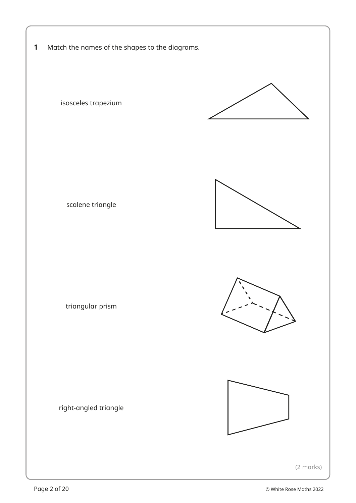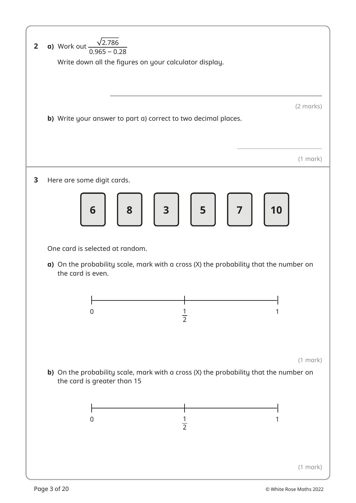| $\overline{2}$ | <b>a)</b> Work out $\frac{\sqrt{2.786}}{0.965 - 0.28}$<br>Write down all the figures on your calculator display.                                                                                                                           |
|----------------|--------------------------------------------------------------------------------------------------------------------------------------------------------------------------------------------------------------------------------------------|
|                | (2 marks)<br>b) Write your answer to part a) correct to two decimal places.                                                                                                                                                                |
|                | $(1$ mark)                                                                                                                                                                                                                                 |
| 3              | Here are some digit cards.<br>8 3 5 7<br>$6 \mid$<br>10                                                                                                                                                                                    |
|                | One card is selected at random.<br>$\alpha$ ) On the probability scale, mark with a cross (X) the probability that the number on<br>the card is even.<br>$\mathbf{I}$<br>$\mathbf{L}$<br>$\mathbf{I}$<br>0<br>$\overline{2}$<br>$(1$ mark) |
|                | b) On the probability scale, mark with a cross (X) the probability that the number on<br>the card is greater than 15<br>0<br>1<br>$\frac{1}{2}$                                                                                            |
|                | $(1$ mark)                                                                                                                                                                                                                                 |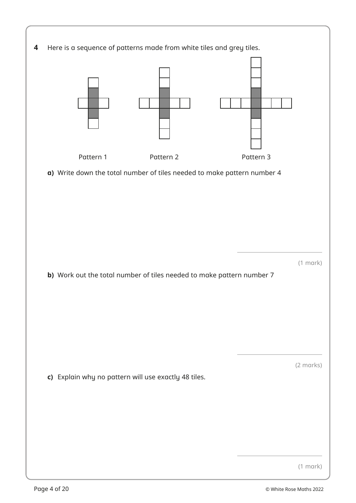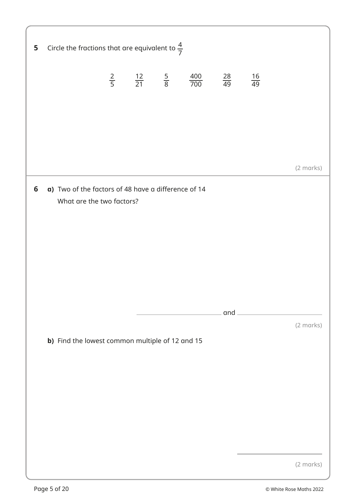| 5 | Circle the fractions that are equivalent to $\frac{4}{7}$                        |  |                                                               |                 |                                                       |           |
|---|----------------------------------------------------------------------------------|--|---------------------------------------------------------------|-----------------|-------------------------------------------------------|-----------|
|   |                                                                                  |  | $\frac{2}{5}$ $\frac{12}{21}$ $\frac{5}{8}$ $\frac{400}{700}$ | $\frac{28}{49}$ | $\frac{16}{49}$                                       |           |
|   |                                                                                  |  |                                                               |                 |                                                       |           |
|   |                                                                                  |  |                                                               |                 |                                                       |           |
|   |                                                                                  |  |                                                               |                 |                                                       | (2 marks) |
| 6 | a) Two of the factors of 48 have a difference of 14<br>What are the two factors? |  |                                                               |                 |                                                       |           |
|   |                                                                                  |  |                                                               |                 | $\overline{\phantom{a}}$ and $\overline{\phantom{a}}$ |           |
|   | b) Find the lowest common multiple of 12 and 15                                  |  |                                                               |                 |                                                       | (2 marks) |
|   |                                                                                  |  |                                                               |                 |                                                       | (2 marks) |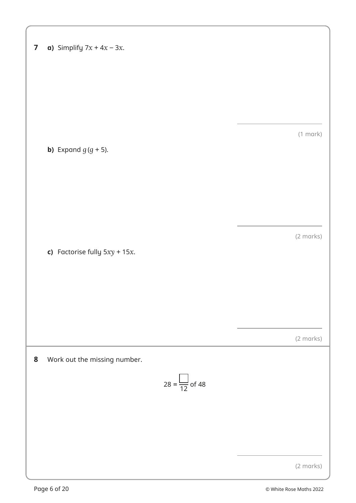| $\overline{\mathbf{z}}$ | a) Simplify $7x + 4x - 3x$ .     |               |
|-------------------------|----------------------------------|---------------|
|                         |                                  |               |
|                         |                                  |               |
|                         |                                  |               |
|                         | <b>b)</b> Expand $g(g + 5)$ .    | $(1$ mark $)$ |
|                         |                                  |               |
|                         |                                  |               |
|                         |                                  |               |
|                         | c) Factorise fully $5xy + 15x$ . | (2 marks)     |
|                         |                                  |               |
|                         |                                  |               |
|                         |                                  |               |
| 8                       | Work out the missing number.     | (2 marks)     |
|                         | $28 = \frac{\boxed{}}{12}$ of 48 |               |
|                         |                                  |               |
|                         |                                  |               |
|                         |                                  |               |
|                         |                                  | (2 marks)     |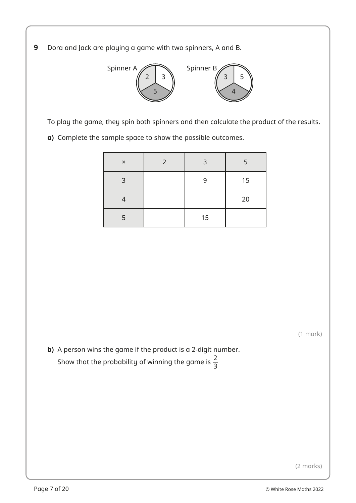**9** Dora and Jack are playing a game with two spinners, A and B.



To play the game, they spin both spinners and then calculate the product of the results.

**a)** Complete the sample space to show the possible outcomes.

| $\times$       | 2 | 3  | 5  |
|----------------|---|----|----|
| $\mathbf{B}$   |   | q  | 15 |
|                |   |    | 20 |
| $\overline{5}$ |   | 15 |    |

(1 mark)

**b)** A person wins the game if the product is a 2-digit number. Show that the probability of winning the game is  $\frac{2}{3}$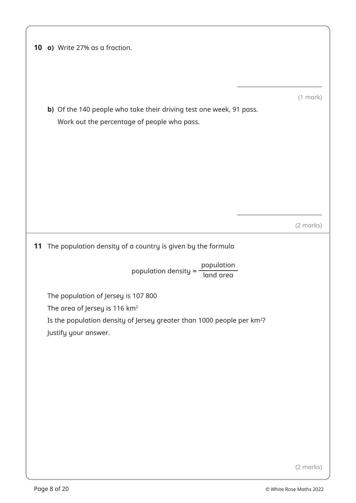| 10 | a) Write 27% as a fraction.                                                                                        |  |
|----|--------------------------------------------------------------------------------------------------------------------|--|
|    | b) Of the 140 people who take their driving test one week, 91 pass.<br>Work out the percentage of people who pass. |  |
|    |                                                                                                                    |  |
|    |                                                                                                                    |  |
|    | 11 The population density of a country is given by the formula                                                     |  |
|    | population<br>population density = $\cdot$<br>land area                                                            |  |
|    | The population of Jersey is 107 800                                                                                |  |
|    | The area of Jersey is 116 km <sup>2</sup>                                                                          |  |
|    | Is the population density of Jersey greater than 1000 people per km <sup>2</sup> ?<br>Justify your answer.         |  |
|    |                                                                                                                    |  |
|    |                                                                                                                    |  |
|    |                                                                                                                    |  |
|    |                                                                                                                    |  |
|    |                                                                                                                    |  |
|    |                                                                                                                    |  |

(2 marks)

(1 mark)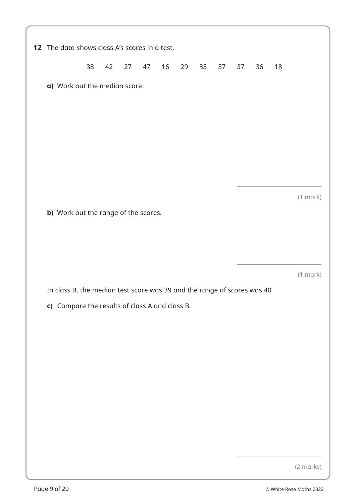| 12 The data shows class A's scores in a test.                                                                             |    |    |    |    |    |    |    |    |    |    |    |               |
|---------------------------------------------------------------------------------------------------------------------------|----|----|----|----|----|----|----|----|----|----|----|---------------|
|                                                                                                                           | 38 | 42 | 27 | 47 | 16 | 29 | 33 | 37 | 37 | 36 | 18 |               |
| a) Work out the median score.                                                                                             |    |    |    |    |    |    |    |    |    |    |    |               |
|                                                                                                                           |    |    |    |    |    |    |    |    |    |    |    |               |
|                                                                                                                           |    |    |    |    |    |    |    |    |    |    |    |               |
|                                                                                                                           |    |    |    |    |    |    |    |    |    |    |    |               |
|                                                                                                                           |    |    |    |    |    |    |    |    |    |    |    |               |
|                                                                                                                           |    |    |    |    |    |    |    |    |    |    |    | $(1$ mark $)$ |
| b) Work out the range of the scores.                                                                                      |    |    |    |    |    |    |    |    |    |    |    |               |
|                                                                                                                           |    |    |    |    |    |    |    |    |    |    |    |               |
|                                                                                                                           |    |    |    |    |    |    |    |    |    |    |    |               |
|                                                                                                                           |    |    |    |    |    |    |    |    |    |    |    | $(1$ mark $)$ |
| In class B, the median test score was 39 and the range of scores was 40<br>c) Compare the results of class A and class B. |    |    |    |    |    |    |    |    |    |    |    |               |
|                                                                                                                           |    |    |    |    |    |    |    |    |    |    |    |               |
|                                                                                                                           |    |    |    |    |    |    |    |    |    |    |    |               |
|                                                                                                                           |    |    |    |    |    |    |    |    |    |    |    |               |
|                                                                                                                           |    |    |    |    |    |    |    |    |    |    |    |               |
|                                                                                                                           |    |    |    |    |    |    |    |    |    |    |    |               |
|                                                                                                                           |    |    |    |    |    |    |    |    |    |    |    |               |
|                                                                                                                           |    |    |    |    |    |    |    |    |    |    |    |               |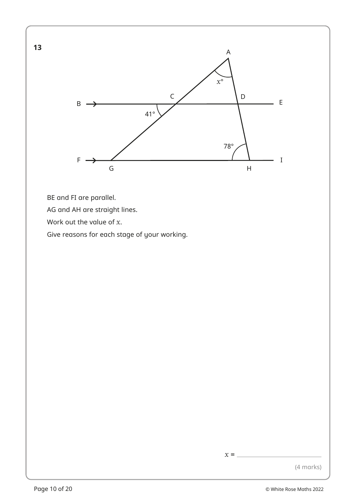

BE and FI are parallel.

**13**

AG and AH are straight lines.

Work out the value of *x*.

Give reasons for each stage of your working.

 $x =$ 

(4 marks)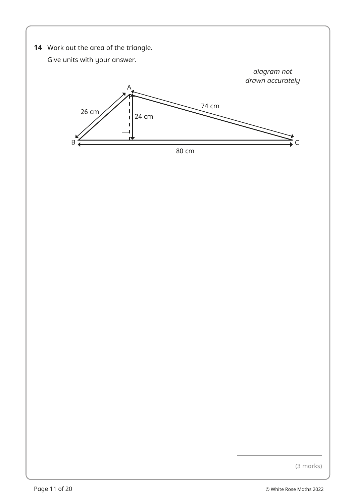**14** Work out the area of the triangle.

Give units with your answer.



(3 marks)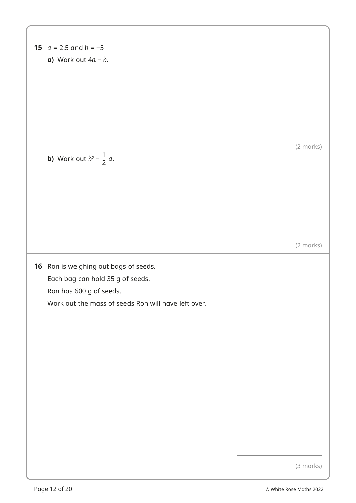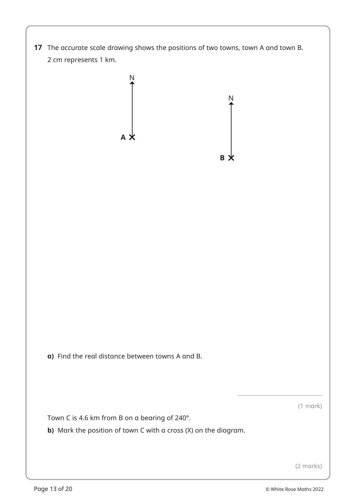



**a)** Find the real distance between towns A and B.

(1 mark)

Town C is 4.6 km from B on a bearing of 240°.

**b)** Mark the position of town C with a cross (X) on the diagram.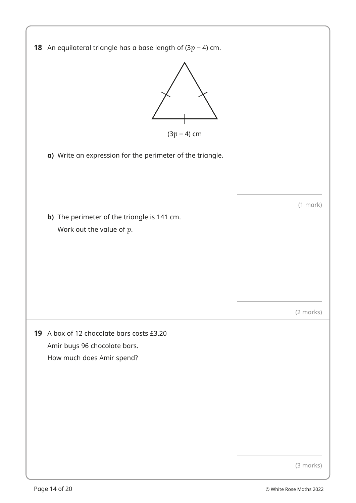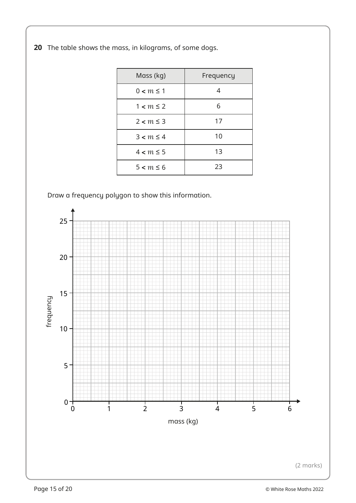**20** The table shows the mass, in kilograms, of some dogs.

| Mass (kg)      | Frequency |
|----------------|-----------|
| $0 < m \leq 1$ | 4         |
| $1 < m \leq 2$ | 6         |
| $2 < m \leq 3$ | 17        |
| $3 < m \leq 4$ | 10        |
| $4 < m \leq 5$ | 13        |
| $5 < m \le 6$  | 23        |

Draw a frequency polygon to show this information.

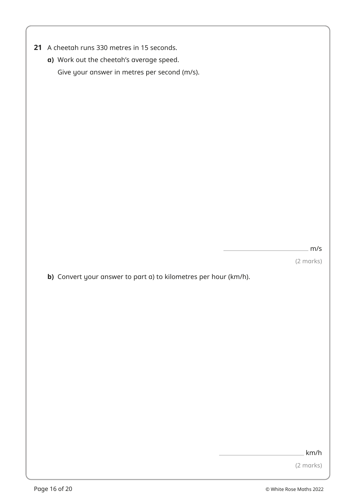- **21** A cheetah runs 330 metres in 15 seconds.
	- **a)** Work out the cheetah's average speed. Give your answer in metres per second (m/s).

m/s

(2 marks)

**b)** Convert your answer to part a) to kilometres per hour (km/h).

km/h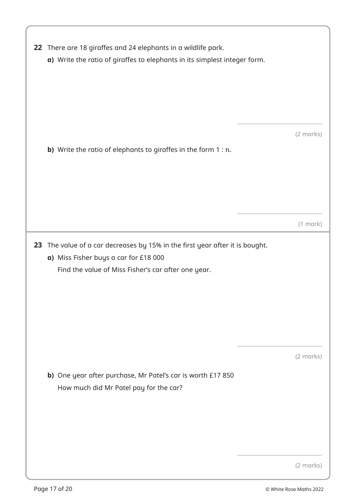| 22 There are 18 giraffes and 24 elephants in a wildlife park.<br>a) Write the ratio of giraffes to elephants in its simplest integer form.                                   |            |  |  |  |  |  |  |
|------------------------------------------------------------------------------------------------------------------------------------------------------------------------------|------------|--|--|--|--|--|--|
| <b>b)</b> Write the ratio of elephants to giraffes in the form $1 : n$ .                                                                                                     | (2 marks)  |  |  |  |  |  |  |
|                                                                                                                                                                              | $(1$ mark) |  |  |  |  |  |  |
| 23 The value of a car decreases by 15% in the first year after it is bought.<br>a) Miss Fisher buys a car for £18 000<br>Find the value of Miss Fisher's car after one year. |            |  |  |  |  |  |  |
| b) One year after purchase, Mr Patel's car is worth £17 850<br>How much did Mr Patel pay for the car?                                                                        | (2 marks)  |  |  |  |  |  |  |
|                                                                                                                                                                              | (2 marks)  |  |  |  |  |  |  |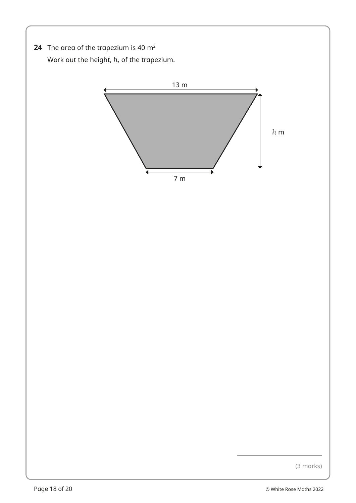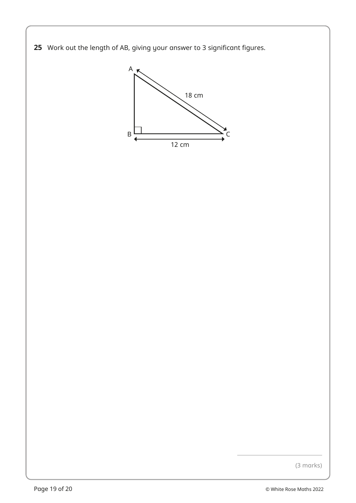



(3 marks)